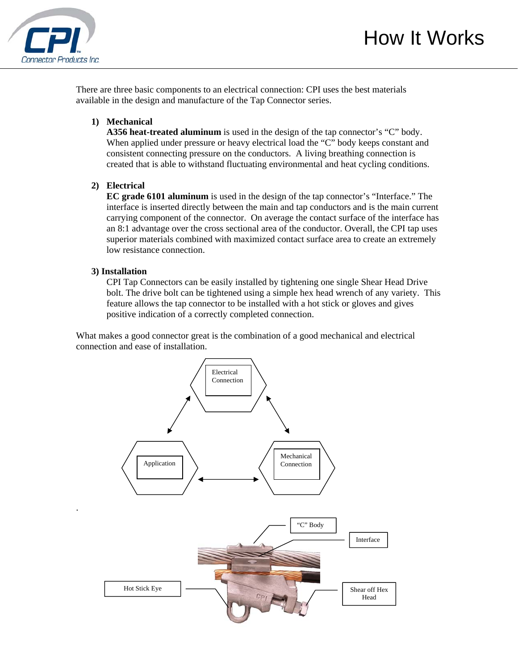

There are three basic components to an electrical connection: CPI uses the best materials available in the design and manufacture of the Tap Connector series.

## **1) Mechanical**

**A356 heat-treated aluminum** is used in the design of the tap connector's "C" body. When applied under pressure or heavy electrical load the "C" body keeps constant and consistent connecting pressure on the conductors. A living breathing connection is created that is able to withstand fluctuating environmental and heat cycling conditions.

## **2) Electrical**

 **EC grade 6101 aluminum** is used in the design of the tap connector's "Interface." The interface is inserted directly between the main and tap conductors and is the main current carrying component of the connector. On average the contact surface of the interface has an 8:1 advantage over the cross sectional area of the conductor. Overall, the CPI tap uses superior materials combined with maximized contact surface area to create an extremely low resistance connection.

#### **3) Installation**

.

 CPI Tap Connectors can be easily installed by tightening one single Shear Head Drive bolt. The drive bolt can be tightened using a simple hex head wrench of any variety. This feature allows the tap connector to be installed with a hot stick or gloves and gives positive indication of a correctly completed connection.

What makes a good connector great is the combination of a good mechanical and electrical connection and ease of installation.